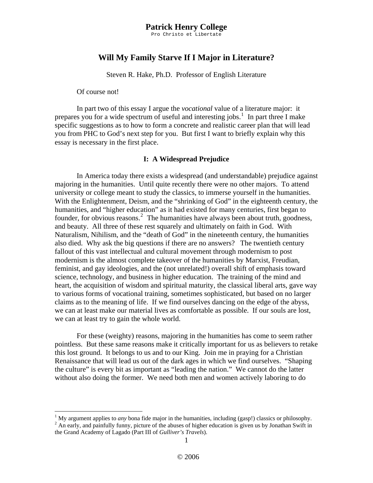Pro Christo et Libertate

## **Will My Family Starve If I Major in Literature?**

Steven R. Hake, Ph.D. Professor of English Literature

Of course not!

1

 In part two of this essay I argue the *vocational* value of a literature major: it prepares you for a wide spectrum of useful and interesting jobs.<sup>[1](#page-0-0)</sup> In part three I make specific suggestions as to how to form a concrete and realistic career plan that will lead you from PHC to God's next step for you. But first I want to briefly explain why this essay is necessary in the first place.

#### **I: A Widespread Prejudice**

 In America today there exists a widespread (and understandable) prejudice against majoring in the humanities. Until quite recently there were no other majors. To attend university or college meant to study the classics, to immerse yourself in the humanities. With the Enlightenment, Deism, and the "shrinking of God" in the eighteenth century, the humanities, and "higher education" as it had existed for many centuries, first began to founder, for obvious reasons.<sup>[2](#page-0-1)</sup> The humanities have always been about truth, goodness, and beauty. All three of these rest squarely and ultimately on faith in God. With Naturalism, Nihilism, and the "death of God" in the nineteenth century, the humanities also died. Why ask the big questions if there are no answers? The twentieth century fallout of this vast intellectual and cultural movement through modernism to post modernism is the almost complete takeover of the humanities by Marxist, Freudian, feminist, and gay ideologies, and the (not unrelated!) overall shift of emphasis toward science, technology, and business in higher education. The training of the mind and heart, the acquisition of wisdom and spiritual maturity, the classical liberal arts, gave way to various forms of vocational training, sometimes sophisticated, but based on no larger claims as to the meaning of life. If we find ourselves dancing on the edge of the abyss, we can at least make our material lives as comfortable as possible. If our souls are lost, we can at least try to gain the whole world.

 For these (weighty) reasons, majoring in the humanities has come to seem rather pointless. But these same reasons make it critically important for us as believers to retake this lost ground. It belongs to us and to our King. Join me in praying for a Christian Renaissance that will lead us out of the dark ages in which we find ourselves. "Shaping the culture" is every bit as important as "leading the nation." We cannot do the latter without also doing the former. We need both men and women actively laboring to do

<span id="page-0-1"></span><span id="page-0-0"></span><sup>&</sup>lt;sup>1</sup> My argument applies to *any* bona fide major in the humanities, including (gasp!) classics or philosophy.<br><sup>2</sup> An early and painfully funny picture of the abyses of bigher education is given us by Jonathan Swift in <sup>2</sup> An early, and painfully funny, picture of the abuses of higher education is given us by Jonathan Swift in the Grand Academy of Lagado (Part III of *Gulliver's Travels*).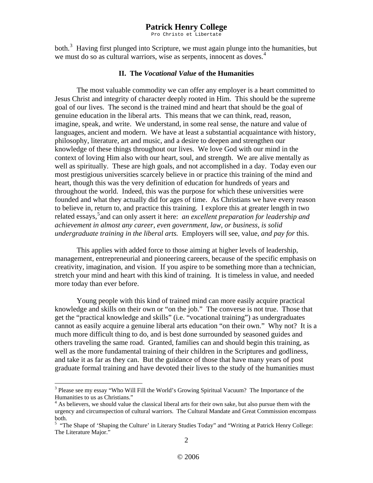Pro Christo et Libertate

both.<sup>[3](#page-1-0)</sup> Having first plunged into Scripture, we must again plunge into the humanities, but we must do so as cultural warriors, wise as serpents, innocent as doves.<sup>[4](#page-1-1)</sup>

#### **II. The** *Vocational Value* **of the Humanities**

 The most valuable commodity we can offer any employer is a heart committed to Jesus Christ and integrity of character deeply rooted in Him. This should be the supreme goal of our lives. The second is the trained mind and heart that should be the goal of genuine education in the liberal arts. This means that we can think, read, reason, imagine, speak, and write. We understand, in some real sense, the nature and value of languages, ancient and modern. We have at least a substantial acquaintance with history, philosophy, literature, art and music, and a desire to deepen and strengthen our knowledge of these things throughout our lives. We love God with our mind in the context of loving Him also with our heart, soul, and strength. We are alive mentally as well as spiritually. These are high goals, and not accomplished in a day. Today even our most prestigious universities scarcely believe in or practice this training of the mind and heart, though this was the very definition of education for hundreds of years and throughout the world. Indeed, this was the purpose for which these universities were founded and what they actually did for ages of time. As Christians we have every reason to believe in, return to, and practice this training. I explore this at greater length in two related essays,<sup>[5](#page-1-2)</sup> and can only assert it here: *an excellent preparation for leadership and achievement in almost any career, even government, law, or business, is solid undergraduate training in the liberal arts.* Employers will see, value, *and pay for* this.

 This applies with added force to those aiming at higher levels of leadership, management, entrepreneurial and pioneering careers, because of the specific emphasis on creativity, imagination, and vision. If you aspire to be something more than a technician, stretch your mind and heart with this kind of training. It is timeless in value, and needed more today than ever before.

 Young people with this kind of trained mind can more easily acquire practical knowledge and skills on their own or "on the job." The converse is not true. Those that get the "practical knowledge and skills" (i.e. "vocational training") as undergraduates cannot as easily acquire a genuine liberal arts education "on their own." Why not? It is a much more difficult thing to do, and is best done surrounded by seasoned guides and others traveling the same road. Granted, families can and should begin this training, as well as the more fundamental training of their children in the Scriptures and godliness, and take it as far as they can. But the guidance of those that have many years of post graduate formal training and have devoted their lives to the study of the humanities must

 $\overline{a}$ 

<span id="page-1-0"></span><sup>&</sup>lt;sup>3</sup> Please see my essay "Who Will Fill the World's Growing Spiritual Vacuum? The Importance of the Humanities to us as Christians."

<span id="page-1-1"></span><sup>&</sup>lt;sup>4</sup> As believers, we should value the classical liberal arts for their own sake, but also pursue them with the urgency and circumspection of cultural warriors. The Cultural Mandate and Great Commission encompass both.

<span id="page-1-2"></span><sup>&</sup>lt;sup>5</sup> "The Shape of 'Shaping the Culture' in Literary Studies Today" and "Writing at Patrick Henry College: The Literature Major."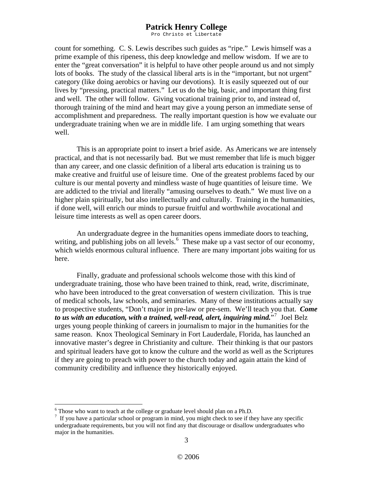Pro Christo et Libertate

count for something. C. S. Lewis describes such guides as "ripe." Lewis himself was a prime example of this ripeness, this deep knowledge and mellow wisdom. If we are to enter the "great conversation" it is helpful to have other people around us and not simply lots of books. The study of the classical liberal arts is in the "important, but not urgent" category (like doing aerobics or having our devotions). It is easily squeezed out of our lives by "pressing, practical matters." Let us do the big, basic, and important thing first and well. The other will follow. Giving vocational training prior to, and instead of, thorough training of the mind and heart may give a young person an immediate sense of accomplishment and preparedness. The really important question is how we evaluate our undergraduate training when we are in middle life. I am urging something that wears well.

 This is an appropriate point to insert a brief aside. As Americans we are intensely practical, and that is not necessarily bad. But we must remember that life is much bigger than any career, and one classic definition of a liberal arts education is training us to make creative and fruitful use of leisure time. One of the greatest problems faced by our culture is our mental poverty and mindless waste of huge quantities of leisure time. We are addicted to the trivial and literally "amusing ourselves to death." We must live on a higher plain spiritually, but also intellectually and culturally. Training in the humanities, if done well, will enrich our minds to pursue fruitful and worthwhile avocational and leisure time interests as well as open career doors.

 An undergraduate degree in the humanities opens immediate doors to teaching, writing, and publishing jobs on all levels.  $6\text{ These make up a vast sector of our economy}$  $6\text{ These make up a vast sector of our economy}$ , which wields enormous cultural influence. There are many important jobs waiting for us here.

 Finally, graduate and professional schools welcome those with this kind of undergraduate training, those who have been trained to think, read, write, discriminate, who have been introduced to the great conversation of western civilization. This is true of medical schools, law schools, and seminaries. Many of these institutions actually say to prospective students, "Don't major in pre-law or pre-sem. We'll teach you that. *Come to us with an education, with a trained, well-read, alert, inquiring mind.*"[7](#page-2-1) Joel Belz urges young people thinking of careers in journalism to major in the humanities for the same reason. Knox Theological Seminary in Fort Lauderdale, Florida, has launched an innovative master's degree in Christianity and culture. Their thinking is that our pastors and spiritual leaders have got to know the culture and the world as well as the Scriptures if they are going to preach with power to the church today and again attain the kind of community credibility and influence they historically enjoyed.

1

<span id="page-2-0"></span><sup>&</sup>lt;sup>6</sup> Those who want to teach at the college or graduate level should plan on a Ph.D.

<span id="page-2-1"></span> $<sup>7</sup>$  If you have a particular school or program in mind, you might check to see if they have any specific</sup> undergraduate requirements, but you will not find any that discourage or disallow undergraduates who major in the humanities.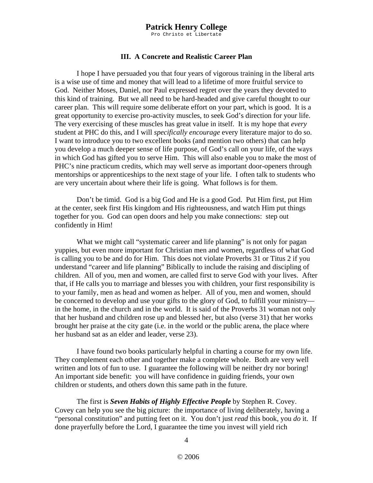Pro Christo et Libertate

#### **III. A Concrete and Realistic Career Plan**

 I hope I have persuaded you that four years of vigorous training in the liberal arts is a wise use of time and money that will lead to a lifetime of more fruitful service to God. Neither Moses, Daniel, nor Paul expressed regret over the years they devoted to this kind of training. But we all need to be hard-headed and give careful thought to our career plan. This will require some deliberate effort on your part, which is good. It is a great opportunity to exercise pro-activity muscles, to seek God's direction for your life. The very exercising of these muscles has great value in itself. It is my hope that *every* student at PHC do this, and I will *specifically encourage* every literature major to do so. I want to introduce you to two excellent books (and mention two others) that can help you develop a much deeper sense of life purpose, of God's call on your life, of the ways in which God has gifted you to serve Him. This will also enable you to make the most of PHC's nine practicum credits, which may well serve as important door-openers through mentorships or apprenticeships to the next stage of your life. I often talk to students who are very uncertain about where their life is going. What follows is for them.

 Don't be timid. God is a big God and He is a good God. Put Him first, put Him at the center, seek first His kingdom and His righteousness, and watch Him put things together for you. God can open doors and help you make connections: step out confidently in Him!

What we might call "systematic career and life planning" is not only for pagan yuppies, but even more important for Christian men and women, regardless of what God is calling you to be and do for Him. This does not violate Proverbs 31 or Titus 2 if you understand "career and life planning" Biblically to include the raising and discipling of children. All of you, men and women, are called first to serve God with your lives. After that, if He calls you to marriage and blesses you with children, your first responsibility is to your family, men as head and women as helper. All of you, men and women, should be concerned to develop and use your gifts to the glory of God, to fulfill your ministry in the home, in the church and in the world. It is said of the Proverbs 31 woman not only that her husband and children rose up and blessed her, but also (verse 31) that her works brought her praise at the city gate (i.e. in the world or the public arena, the place where her husband sat as an elder and leader, verse 23).

I have found two books particularly helpful in charting a course for my own life. They complement each other and together make a complete whole. Both are very well written and lots of fun to use. I guarantee the following will be neither dry nor boring! An important side benefit: you will have confidence in guiding friends, your own children or students, and others down this same path in the future.

 The first is *Seven Habits of Highly Effective People* by Stephen R. Covey. Covey can help you see the big picture: the importance of living deliberately, having a "personal constitution" and putting feet on it. You don't just *read* this book, you *do* it. If done prayerfully before the Lord, I guarantee the time you invest will yield rich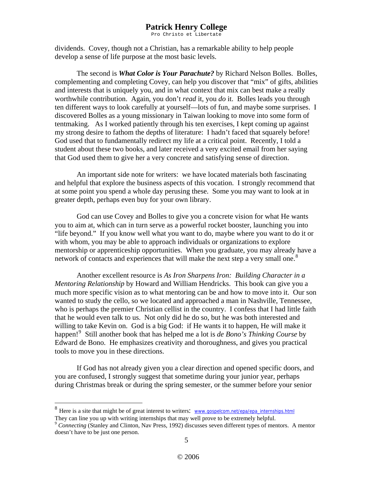Pro Christo et Libertate

dividends. Covey, though not a Christian, has a remarkable ability to help people develop a sense of life purpose at the most basic levels.

 The second is *What Color is Your Parachute?* by Richard Nelson Bolles. Bolles, complementing and completing Covey, can help you discover that "mix" of gifts, abilities and interests that is uniquely you, and in what context that mix can best make a really worthwhile contribution. Again, you don't *read* it, you *do* it. Bolles leads you through ten different ways to look carefully at yourself—lots of fun, and maybe some surprises. I discovered Bolles as a young missionary in Taiwan looking to move into some form of tentmaking. As I worked patiently through his ten exercises, I kept coming up against my strong desire to fathom the depths of literature: I hadn't faced that squarely before! God used that to fundamentally redirect my life at a critical point. Recently, I told a student about these two books, and later received a very excited email from her saying that God used them to give her a very concrete and satisfying sense of direction.

 An important side note for writers: we have located materials both fascinating and helpful that explore the business aspects of this vocation. I strongly recommend that at some point you spend a whole day perusing these. Some you may want to look at in greater depth, perhaps even buy for your own library.

 God can use Covey and Bolles to give you a concrete vision for what He wants you to aim at, which can in turn serve as a powerful rocket booster, launching you into "life beyond." If you know well what you want to do, maybe where you want to do it or with whom, you may be able to approach individuals or organizations to explore mentorship or apprenticeship opportunities. When you graduate, you may already have a network of contacts and experiences that will make the next step a very small one.<sup>[8](#page-4-0)</sup>

Another excellent resource is *As Iron Sharpens Iron: Building Character in a Mentoring Relationship* by Howard and William Hendricks. This book can give you a much more specific vision as to what mentoring can be and how to move into it. Our son wanted to study the cello, so we located and approached a man in Nashville, Tennessee, who is perhaps the premier Christian cellist in the country. I confess that I had little faith that he would even talk to us. Not only did he do so, but he was both interested and willing to take Kevin on. God is a big God: if He wants it to happen, He will make it happen![9](#page-4-1) Still another book that has helped me a lot is *de Bono's Thinking Course* by Edward de Bono. He emphasizes creativity and thoroughness, and gives you practical tools to move you in these directions.

 If God has not already given you a clear direction and opened specific doors, and you are confused, I strongly suggest that sometime during your junior year, perhaps during Christmas break or during the spring semester, or the summer before your senior

1

<span id="page-4-0"></span><sup>&</sup>lt;sup>8</sup> Here is a site that might be of great interest to writers: www.gospelcom.net/epa/epa\_internships.html They can line you up with writing internships that may well prove to be extremely helpful.

<span id="page-4-1"></span><sup>&</sup>lt;sup>9</sup> Connecting (Stanley and Clinton, Nav Press, 1992) discusses seven different types of mentors. A mentor doesn't have to be just one person.